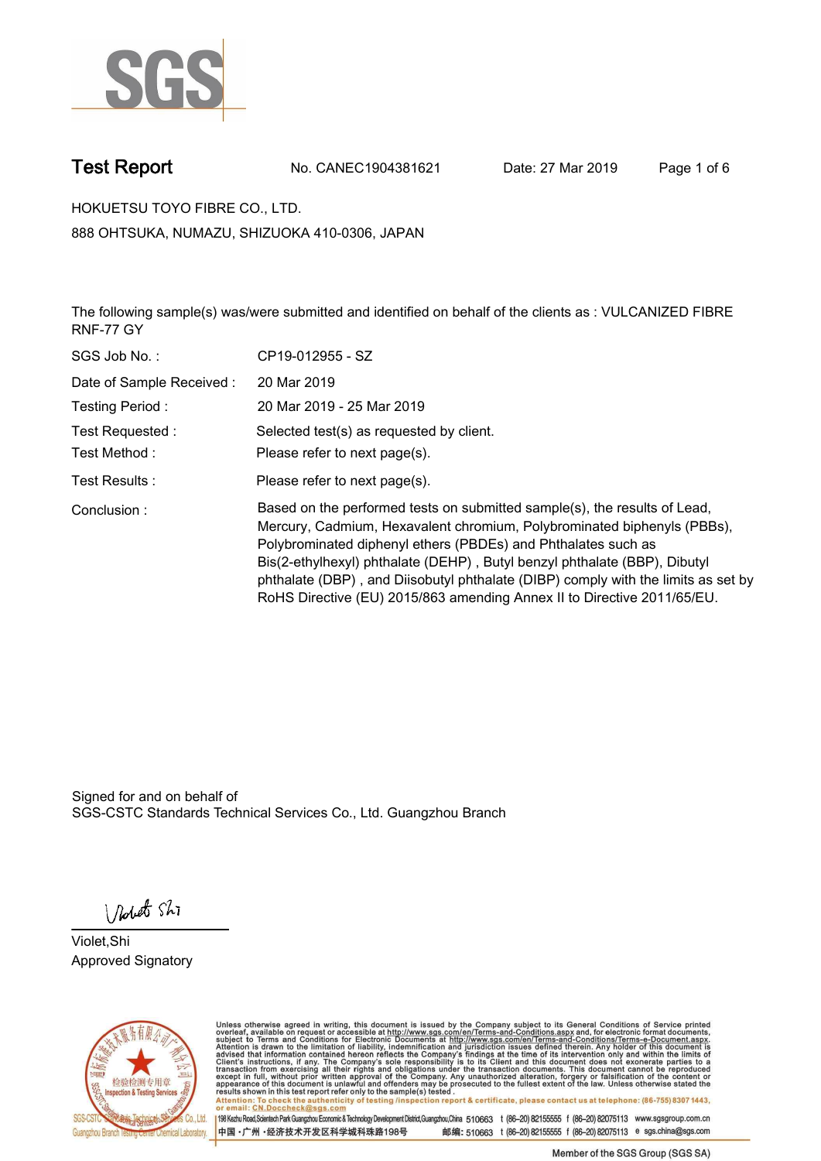

**Test Report. No. CANEC1904381621 Date: 27 Mar 2019. Page 1 of 6.**

**HOKUETSU TOYO FIBRE CO., LTD.. 888 OHTSUKA, NUMAZU, SHIZUOKA 410-0306, JAPAN**

**The following sample(s) was/were submitted and identified on behalf of the clients as : VULCANIZED FIBRE RNF-77 GY.**

| SGS Job No.:             | CP19-012955 - SZ                                                                                                                                                                                                                                                                                                                                                                                                                                                   |
|--------------------------|--------------------------------------------------------------------------------------------------------------------------------------------------------------------------------------------------------------------------------------------------------------------------------------------------------------------------------------------------------------------------------------------------------------------------------------------------------------------|
| Date of Sample Received: | 20 Mar 2019                                                                                                                                                                                                                                                                                                                                                                                                                                                        |
| Testing Period:          | 20 Mar 2019 - 25 Mar 2019                                                                                                                                                                                                                                                                                                                                                                                                                                          |
| Test Requested :         | Selected test(s) as requested by client.                                                                                                                                                                                                                                                                                                                                                                                                                           |
| Test Method :            | Please refer to next page(s).                                                                                                                                                                                                                                                                                                                                                                                                                                      |
| Test Results :           | Please refer to next page(s).                                                                                                                                                                                                                                                                                                                                                                                                                                      |
| Conclusion:              | Based on the performed tests on submitted sample(s), the results of Lead,<br>Mercury, Cadmium, Hexavalent chromium, Polybrominated biphenyls (PBBs),<br>Polybrominated diphenyl ethers (PBDEs) and Phthalates such as<br>Bis(2-ethylhexyl) phthalate (DEHP), Butyl benzyl phthalate (BBP), Dibutyl<br>phthalate (DBP), and Diisobutyl phthalate (DIBP) comply with the limits as set by<br>RoHS Directive (EU) 2015/863 amending Annex II to Directive 2011/65/EU. |

Signed for and on behalf of SGS-CSTC Standards Technical Services Co., Ltd. Guangzhou Branch.

Nobet Shi

**Violet,Shi. Approved Signatory.**



Unless otherwise agreed in writing, this document is issued by the Company subject to its General Conditions of Service printed<br>overleaf, available on request or accessible at http://www.sgs.com/en/Terms-and-Conditions.asp Attention: To check the authenticity of testing /inspection report & certificate, please contact us at telephone: (86-755) 8307 1443,<br>Attention: To check the authenticity of testing /inspection report & certificate, please

198 Kezhu Road,Scientech Park Guangzhou Economic & Technology Development District,Guangzhou,China 510663 t (86-20) 82155555 f (86-20) 82075113 www.sgsgroup.com.cn 邮编: 510663 t (86-20) 82155555 f (86-20) 82075113 e sgs.china@sgs.com 中国·广州·经济技术开发区科学城科珠路198号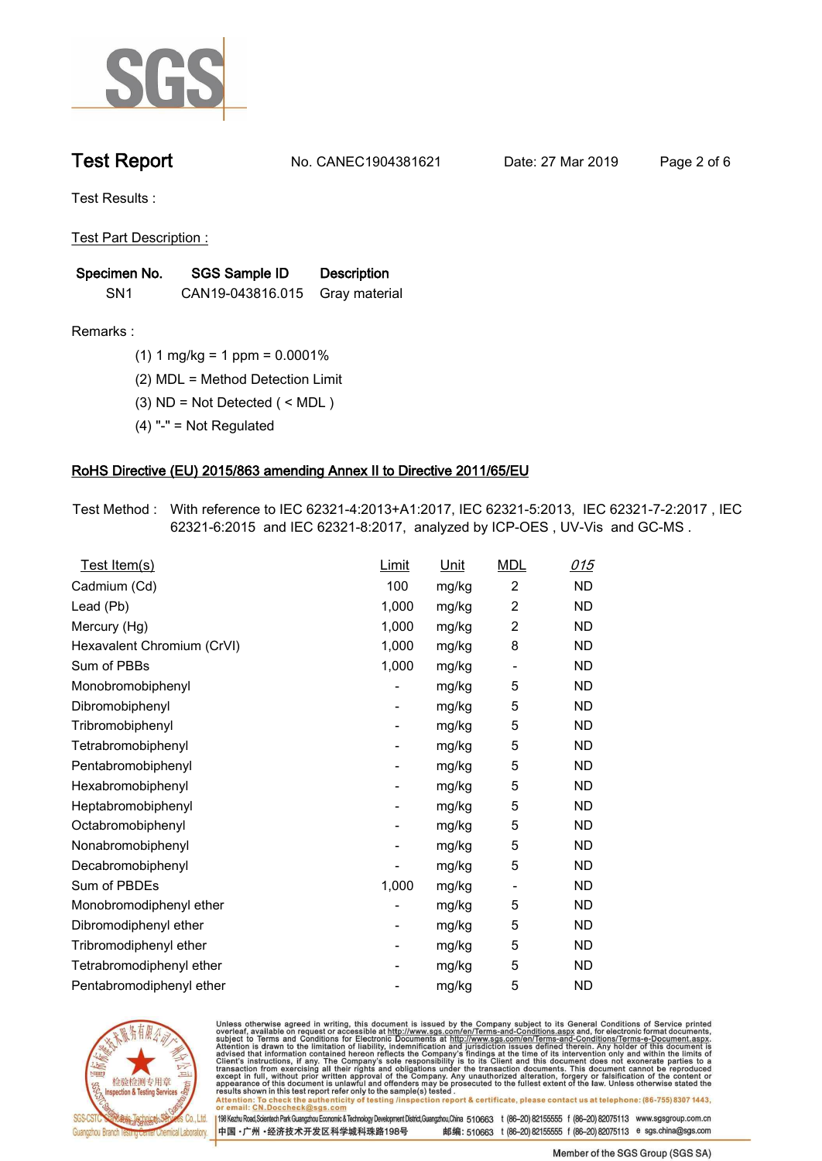

**Test Report. No. CANEC1904381621 Date: 27 Mar 2019. Page 2 of 6.**

**Test Results :.**

**Test Part Description :.**

| Specimen No.    | SGS Sample ID                  | <b>Description</b> |  |
|-----------------|--------------------------------|--------------------|--|
| SN <sub>1</sub> | CAN19-043816.015 Gray material |                    |  |

**Remarks :.(1) 1 mg/kg = 1 ppm = 0.0001%.**

**(2) MDL = Method Detection Limit.**

**(3) ND = Not Detected ( < MDL ).**

**(4) "-" = Not Regulated.**

### **RoHS Directive (EU) 2015/863 amending Annex II to Directive 2011/65/EU.**

**Test Method :. With reference to IEC 62321-4:2013+A1:2017, IEC 62321-5:2013, IEC 62321-7-2:2017 , IEC 62321-6:2015 and IEC 62321-8:2017, analyzed by ICP-OES , UV-Vis and GC-MS ..**

| Test Item(s)               | Limit                    | Unit  | <b>MDL</b>               | 015       |
|----------------------------|--------------------------|-------|--------------------------|-----------|
| Cadmium (Cd)               | 100                      | mg/kg | $\overline{2}$           | <b>ND</b> |
| Lead (Pb)                  | 1,000                    | mg/kg | $\overline{c}$           | <b>ND</b> |
| Mercury (Hg)               | 1,000                    | mg/kg | 2                        | <b>ND</b> |
| Hexavalent Chromium (CrVI) | 1,000                    | mg/kg | 8                        | <b>ND</b> |
| Sum of PBBs                | 1,000                    | mg/kg | $\overline{\phantom{a}}$ | <b>ND</b> |
| Monobromobiphenyl          |                          | mg/kg | 5                        | <b>ND</b> |
| Dibromobiphenyl            | $\overline{\phantom{a}}$ | mg/kg | 5                        | <b>ND</b> |
| Tribromobiphenyl           | -                        | mg/kg | 5                        | <b>ND</b> |
| Tetrabromobiphenyl         |                          | mg/kg | 5                        | <b>ND</b> |
| Pentabromobiphenyl         | -                        | mg/kg | 5                        | <b>ND</b> |
| Hexabromobiphenyl          |                          | mg/kg | 5                        | <b>ND</b> |
| Heptabromobiphenyl         | -                        | mg/kg | 5                        | <b>ND</b> |
| Octabromobiphenyl          | -                        | mg/kg | 5                        | <b>ND</b> |
| Nonabromobiphenyl          |                          | mg/kg | 5                        | <b>ND</b> |
| Decabromobiphenyl          |                          | mg/kg | 5                        | <b>ND</b> |
| Sum of PBDEs               | 1,000                    | mg/kg | $\overline{\phantom{a}}$ | <b>ND</b> |
| Monobromodiphenyl ether    |                          | mg/kg | 5                        | <b>ND</b> |
| Dibromodiphenyl ether      | -                        | mg/kg | 5                        | <b>ND</b> |
| Tribromodiphenyl ether     | -                        | mg/kg | 5                        | <b>ND</b> |
| Tetrabromodiphenyl ether   |                          | mg/kg | 5                        | <b>ND</b> |
| Pentabromodiphenyl ether   |                          | mg/kg | 5                        | <b>ND</b> |
|                            |                          |       |                          |           |



Unless otherwise agreed in writing, this document is issued by the Company subject to its General Conditions of Service printed<br>overleaf, available on request or accessible at http://www.sgs.com/en/Terms-and-Conditions.asp Attention: To check the authenticity of testing /inspection report & certificate, please contact us at telephone: (86-755) 8307 1443,<br>Attention: To check the authenticity of testing /inspection report & certificate, please

198 Kezhu Road,Scientech Park Guangzhou Economic & Technology Development District,Guangzhou,China 510663 t (86-20) 82155555 f (86-20) 82075113 www.sgsgroup.com.cn 邮编: 510663 t (86-20) 82155555 f (86-20) 82075113 e sgs.china@sgs.com 中国·广州·经济技术开发区科学城科珠路198号

Member of the SGS Group (SGS SA)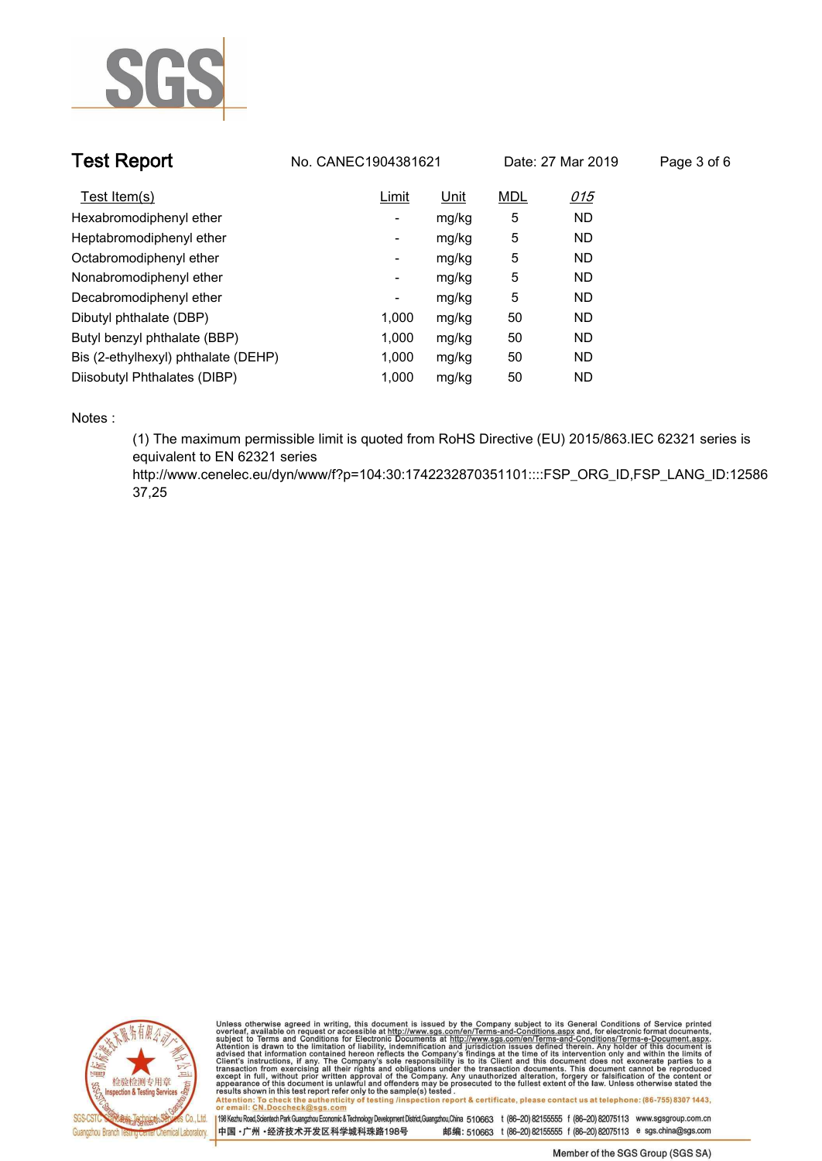

| <b>Test Report</b>                  | No. CANEC1904381621 |       |            | Date: 27 Mar 2019 | Page 3 of 6 |
|-------------------------------------|---------------------|-------|------------|-------------------|-------------|
| Test Item(s)                        | Limit               | Unit  | <b>MDL</b> | 015               |             |
| Hexabromodiphenyl ether             | ۰                   | mg/kg | 5          | <b>ND</b>         |             |
| Heptabromodiphenyl ether            | ۰                   | mg/kg | 5          | <b>ND</b>         |             |
| Octabromodiphenyl ether             | -                   | mg/kg | 5          | <b>ND</b>         |             |
| Nonabromodiphenyl ether             | ۰                   | mg/kg | 5          | <b>ND</b>         |             |
| Decabromodiphenyl ether             | -                   | mg/kg | 5          | <b>ND</b>         |             |
| Dibutyl phthalate (DBP)             | 1.000               | mg/kg | 50         | <b>ND</b>         |             |
| Butyl benzyl phthalate (BBP)        | 1.000               | mg/kg | 50         | <b>ND</b>         |             |
| Bis (2-ethylhexyl) phthalate (DEHP) | 1,000               | mg/kg | 50         | <b>ND</b>         |             |
| Diisobutyl Phthalates (DIBP)        | 1.000               | mg/kg | 50         | <b>ND</b>         |             |

**Notes :.**

**(1) The maximum permissible limit is quoted from RoHS Directive (EU) 2015/863.IEC 62321 series is equivalent to EN 62321 series** 

**http://www.cenelec.eu/dyn/www/f?p=104:30:1742232870351101::::FSP\_ORG\_ID,FSP\_LANG\_ID:12586 37,25.**



Unless otherwise agreed in writing, this document is issued by the Company subject to its General Conditions of Service printed<br>overleaf, available on request or accessible at http://www.sgs.com/en/Terms-and-Conditions.asp results shown in this test report refer only to the sample(s) tested .<br>Attention: To check the authenticity of testing /inspection report & certificate, please contact us at telephone: (86-755) 8307 1443,<br>or email: <u>CN.Doc</u>

198 Kezhu Road,Scientech Park Guangzhou Economic & Technology Development District,Guangzhou,China 510663 t (86-20) 82155555 f (86-20) 82075113 www.sgsgroup.com.cn 中国·广州·经济技术开发区科学城科珠路198号 邮编: 510663 t (86-20) 82155555 f (86-20) 82075113 e sgs.china@sgs.com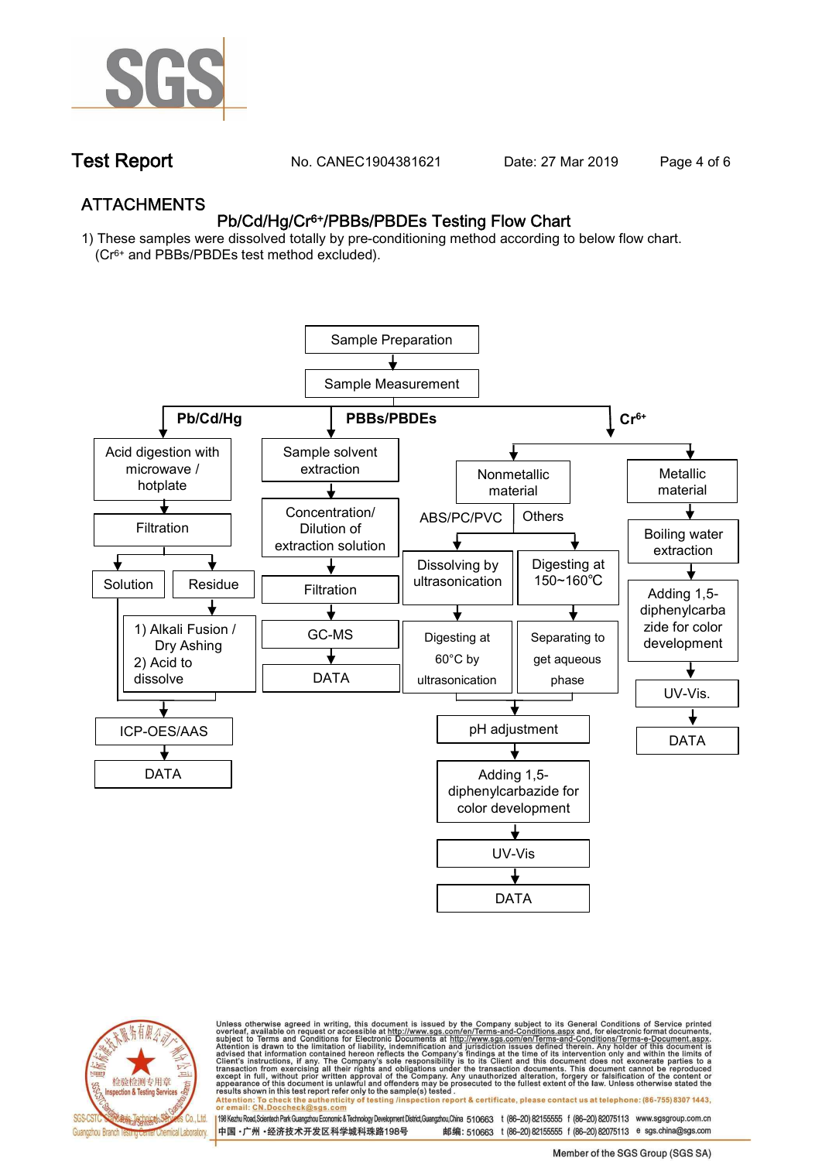

**Test Report. No. CANEC1904381621** Date: 27 Mar 2019 Page 4 of 6

## **ATTACHMENTS Pb/Cd/Hg/Cr6+/PBBs/PBDEs Testing Flow Chart**

**1) These samples were dissolved totally by pre-conditioning method according to below flow chart. (Cr6+ and PBBs/PBDEs test method excluded).**





Unless otherwise agreed in writing, this document is issued by the Company subject to its General Conditions of Service printed<br>overleaf, available on request or accessible at http://www.sgs.com/en/Terms-and-Conditions.asp résults shown in this test report refer only to the sample(s) tésted .<br>Attention: To check the authenticity of testing /inspection report & certificate, please contact us at telephone: (86-755) 8307 1443,<br>or email: <u>CN.Doc</u>

198 Kezhu Road,Scientech Park Guangzhou Economic & Technology Development District,Guangzhou,China 510663 t (86-20) 82155555 f (86-20) 82075113 www.sgsgroup.com.cn 邮编: 510663 t (86-20) 82155555 f (86-20) 82075113 e sgs.china@sgs.com 中国·广州·经济技术开发区科学城科珠路198号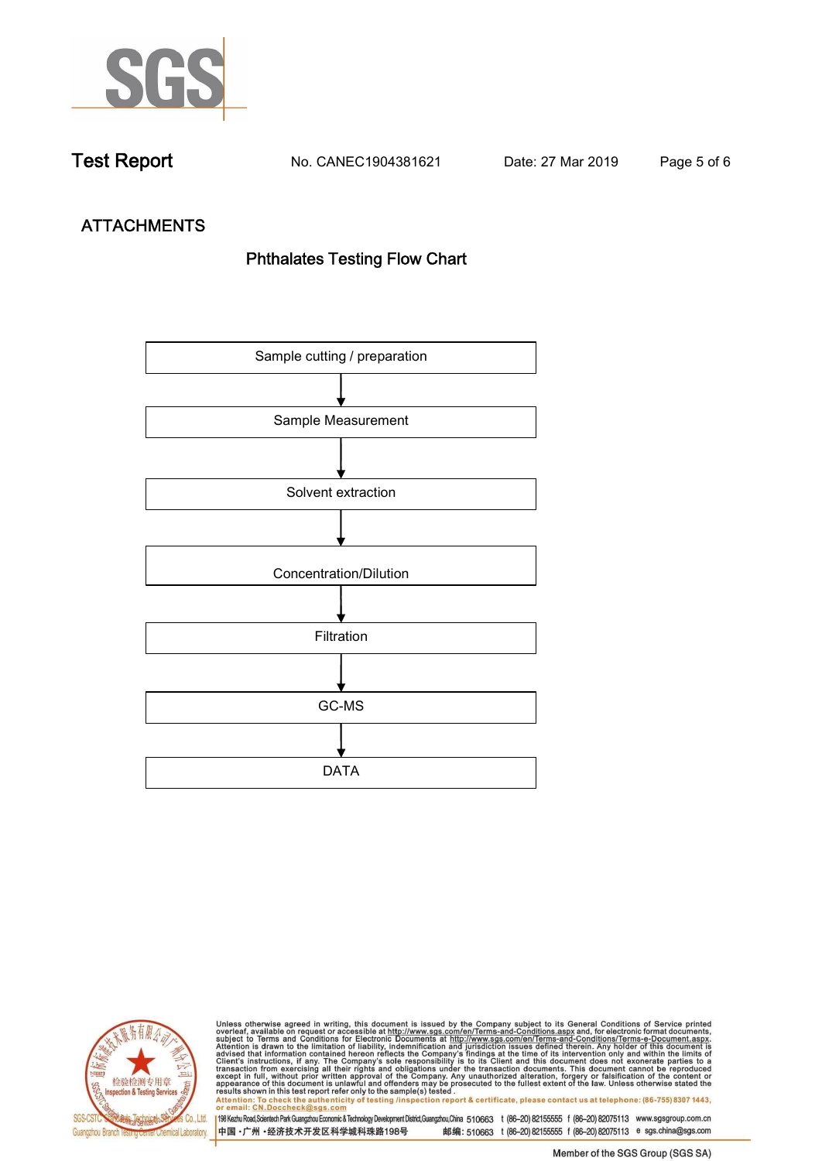

**Test Report. No. CANEC1904381621 Date: 27 Mar 2019. Page 5 of 6.**

# **ATTACHMENTS Phthalates Testing Flow Chart**





Unless otherwise agreed in writing, this document is issued by the Company subject to its General Conditions of Service printed<br>overleaf, available on request or accessible at http://www.sgs.com/en/Terms-and-Conditions.asp results shown in this test report refer only to the sample(s) tested .<br>Attention: To check the authenticity of testing /inspection report & certificate, please contact us at telephone: (86-755) 8307 1443,<br>or email: <u>CN.Doc</u>

198 Kezhu Road,Scientech Park Guangzhou Economic & Technology Development District,Guangzhou,China 510663 t (86-20) 82155555 f (86-20) 82075113 www.sgsgroup.com.cn 中国·广州·经济技术开发区科学城科珠路198号 邮编: 510663 t (86-20) 82155555 f (86-20) 82075113 e sgs.china@sgs.com